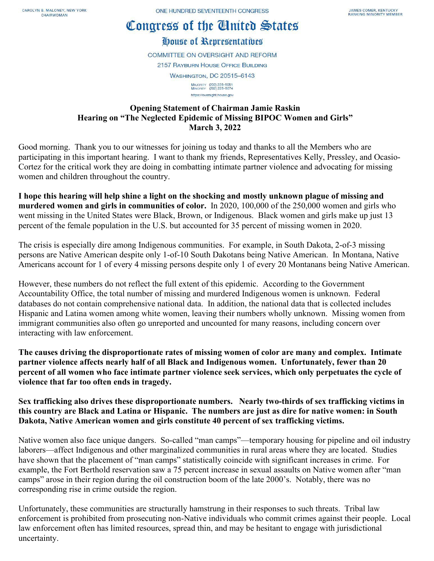## Congress of the Cinited States

## House of Representatives

**COMMITTEE ON OVERSIGHT AND REFORM 2157 RAYBURN HOUSE OFFICE BUILDING WASHINGTON, DC 20515-6143** MAJORITY (202) 225-5051<br>MINORITY (202) 225-5074

https://oversight.house.gov

**Opening Statement of Chairman Jamie Raskin Hearing on "The Neglected Epidemic of Missing BIPOC Women and Girls" March 3, 2022**

Good morning. Thank you to our witnesses for joining us today and thanks to all the Members who are participating in this important hearing. I want to thank my friends, Representatives Kelly, Pressley, and Ocasio-Cortez for the critical work they are doing in combatting intimate partner violence and advocating for missing women and children throughout the country.

**I hope this hearing will help shine a light on the shocking and mostly unknown plague of missing and murdered women and girls in communities of color.** In 2020, 100,000 of the 250,000 women and girls who went missing in the United States were Black, Brown, or Indigenous. Black women and girls make up just 13 percent of the female population in the U.S. but accounted for 35 percent of missing women in 2020.

The crisis is especially dire among Indigenous communities. For example, in South Dakota, 2-of-3 missing persons are Native American despite only 1-of-10 South Dakotans being Native American. In Montana, Native Americans account for 1 of every 4 missing persons despite only 1 of every 20 Montanans being Native American.

However, these numbers do not reflect the full extent of this epidemic. According to the Government Accountability Office, the total number of missing and murdered Indigenous women is unknown. Federal databases do not contain comprehensive national data. In addition, the national data that is collected includes Hispanic and Latina women among white women, leaving their numbers wholly unknown. Missing women from immigrant communities also often go unreported and uncounted for many reasons, including concern over interacting with law enforcement.

**The causes driving the disproportionate rates of missing women of color are many and complex. Intimate partner violence affects nearly half of all Black and Indigenous women. Unfortunately, fewer than 20 percent of all women who face intimate partner violence seek services, which only perpetuates the cycle of violence that far too often ends in tragedy.** 

**Sex trafficking also drives these disproportionate numbers. Nearly two-thirds of sex trafficking victims in this country are Black and Latina or Hispanic. The numbers are just as dire for native women: in South Dakota, Native American women and girls constitute 40 percent of sex trafficking victims.** 

Native women also face unique dangers. So-called "man camps"—temporary housing for pipeline and oil industry laborers—affect Indigenous and other marginalized communities in rural areas where they are located. Studies have shown that the placement of "man camps" statistically coincide with significant increases in crime. For example, the Fort Berthold reservation saw a 75 percent increase in sexual assaults on Native women after "man camps" arose in their region during the oil construction boom of the late 2000's. Notably, there was no corresponding rise in crime outside the region.

Unfortunately, these communities are structurally hamstrung in their responses to such threats. Tribal law enforcement is prohibited from prosecuting non-Native individuals who commit crimes against their people. Local law enforcement often has limited resources, spread thin, and may be hesitant to engage with jurisdictional uncertainty.